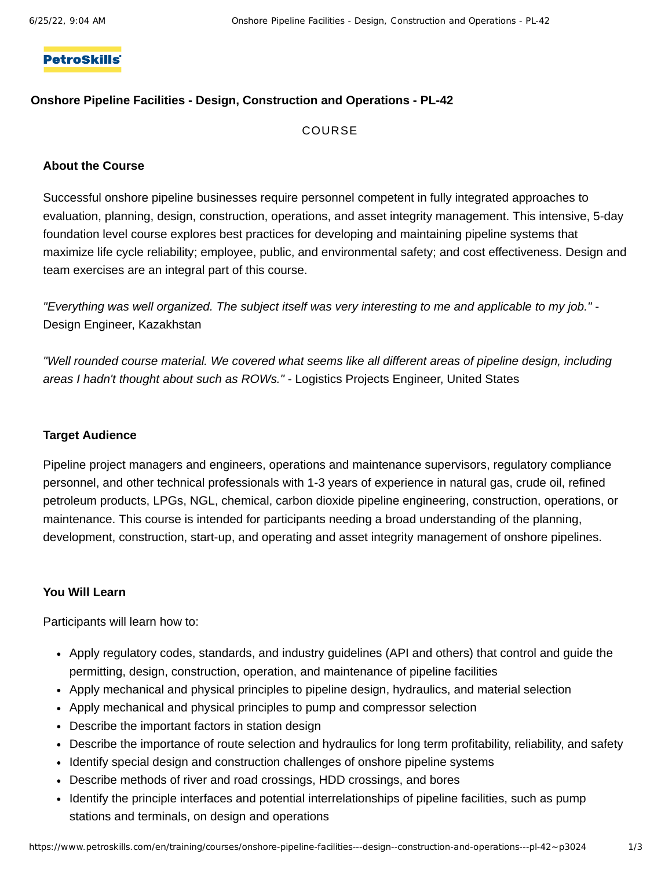## **PetroSkills**

### **Onshore Pipeline Facilities - Design, Construction and Operations - PL-42**

## COURSE

#### **About the Course**

Successful onshore pipeline businesses require personnel competent in fully integrated approaches to evaluation, planning, design, construction, operations, and asset integrity management. This intensive, 5-day foundation level course explores best practices for developing and maintaining pipeline systems that maximize life cycle reliability; employee, public, and environmental safety; and cost effectiveness. Design and team exercises are an integral part of this course.

"Everything was well organized. The subject itself was very interesting to me and applicable to my job." -Design Engineer, Kazakhstan

*"Well rounded course material. We covered what seems like all different areas of pipeline design, including areas I hadn't thought about such as ROWs."* - Logistics Projects Engineer, United States

## **Target Audience**

Pipeline project managers and engineers, operations and maintenance supervisors, regulatory compliance personnel, and other technical professionals with 1-3 years of experience in natural gas, crude oil, refined petroleum products, LPGs, NGL, chemical, carbon dioxide pipeline engineering, construction, operations, or maintenance. This course is intended for participants needing a broad understanding of the planning, development, construction, start-up, and operating and asset integrity management of onshore pipelines.

#### **You Will Learn**

Participants will learn how to:

- Apply regulatory codes, standards, and industry guidelines (API and others) that control and guide the permitting, design, construction, operation, and maintenance of pipeline facilities
- Apply mechanical and physical principles to pipeline design, hydraulics, and material selection
- Apply mechanical and physical principles to pump and compressor selection
- Describe the important factors in station design
- Describe the importance of route selection and hydraulics for long term profitability, reliability, and safety
- Identify special design and construction challenges of onshore pipeline systems
- Describe methods of river and road crossings, HDD crossings, and bores
- Identify the principle interfaces and potential interrelationships of pipeline facilities, such as pump stations and terminals, on design and operations